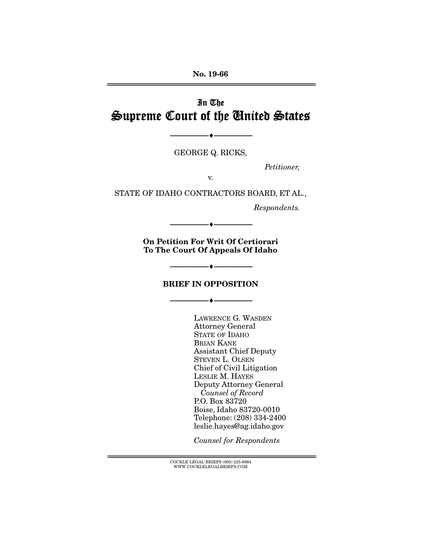No. 19-66 ================================================================================================================

# In The Supreme Court of the United States

GEORGE Q. RICKS,

--------------------------------- ---------------------------------

*Petitioner,* 

v.

STATE OF IDAHO CONTRACTORS BOARD, ET AL.,

*Respondents.* 

On Petition For Writ Of Certiorari To The Court Of Appeals Of Idaho

--------------------------------- ---------------------------------

--------------------------------- ---------------------------------

#### BRIEF IN OPPOSITION

--------------------------------- ---------------------------------

LAWRENCE G. WASDEN Attorney General STATE OF IDAHO BRIAN KANE Assistant Chief Deputy STEVEN L. OLSEN Chief of Civil Litigation LESLIE M. HAYES Deputy Attorney General *Counsel of Record*  P.O. Box 83720 Boise, Idaho 83720-0010 Telephone: (208) 334-2400 leslie.hayes@ag.idaho.gov

*Counsel for Respondents*

 ${ \rm COCKLE}$  LEGAL BRIEFS (800) 225-6964 WWW.COCKLELEGALBRIEFS.COM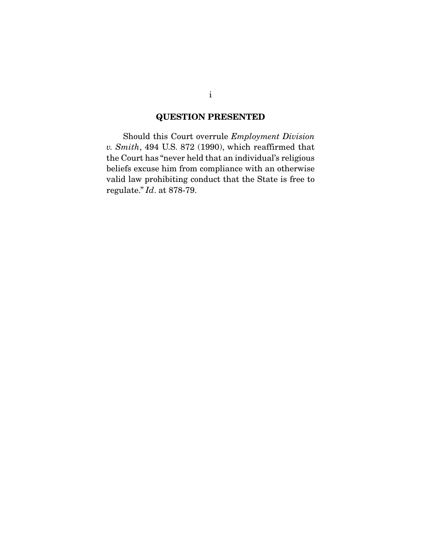### QUESTION PRESENTED

 Should this Court overrule *Employment Division v. Smith*, 494 U.S. 872 (1990), which reaffirmed that the Court has "never held that an individual's religious beliefs excuse him from compliance with an otherwise valid law prohibiting conduct that the State is free to regulate." *Id*. at 878-79.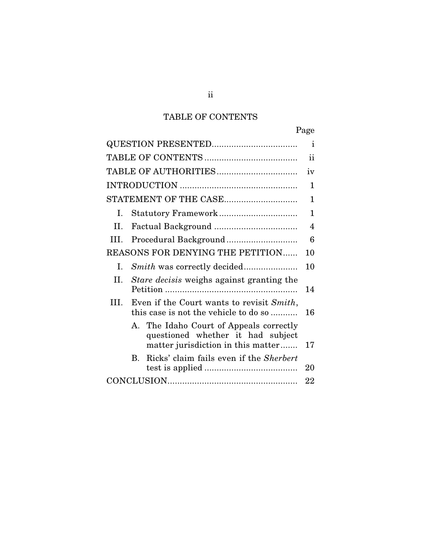## TABLE OF CONTENTS

|      |                                                                                                                    | Page                     |
|------|--------------------------------------------------------------------------------------------------------------------|--------------------------|
|      |                                                                                                                    | $\mathbf{i}$             |
|      |                                                                                                                    | $\mathbf{ii}$            |
|      |                                                                                                                    | iv                       |
|      |                                                                                                                    | 1                        |
|      | STATEMENT OF THE CASE                                                                                              | 1                        |
| Ι.   |                                                                                                                    | $\mathbf{1}$             |
| II.  |                                                                                                                    | $\overline{\mathcal{A}}$ |
| III. |                                                                                                                    | 6                        |
|      | <b>REASONS FOR DENYING THE PETITION</b>                                                                            | 10                       |
| Ι.   |                                                                                                                    | 10                       |
| II.  | <i>Stare decisis</i> weighs against granting the                                                                   | 14                       |
| III. | Even if the Court wants to revisit Smith,<br>this case is not the vehicle to do so                                 | 16                       |
|      | A. The Idaho Court of Appeals correctly<br>questioned whether it had subject<br>matter jurisdiction in this matter | 17                       |
|      | Ricks' claim fails even if the <i>Sherbert</i><br>$\bf{B}$                                                         | 20                       |
|      |                                                                                                                    | 22                       |

ii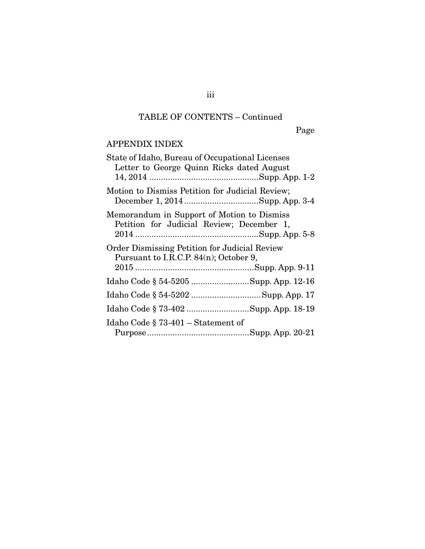## TABLE OF CONTENTS – Continued

Page

## APPENDIX INDEX

| State of Idaho, Bureau of Occupational Licenses<br>Letter to George Quinn Ricks dated August   |
|------------------------------------------------------------------------------------------------|
| Motion to Dismiss Petition for Judicial Review;                                                |
| Memorandum in Support of Motion to Dismiss<br>Petition for Judicial Review; December 1,        |
| <b>Order Dismissing Petition for Judicial Review</b><br>Pursuant to I.R.C.P. 84(n); October 9, |
| Idaho Code § 54-5205 Supp. App. 12-16                                                          |
| Idaho Code § 54-5202 Supp. App. 17                                                             |
| Idaho Code § 73-402 Supp. App. 18-19                                                           |
| Idaho Code § 73-401 – Statement of                                                             |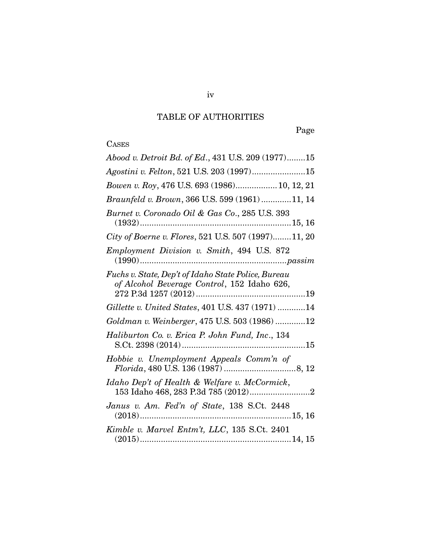## TABLE OF AUTHORITIES

Page

# **CASES**

| Abood v. Detroit Bd. of Ed., 431 U.S. 209 (1977)15                                                 |
|----------------------------------------------------------------------------------------------------|
| Agostini v. Felton, 521 U.S. 203 (1997)15                                                          |
| Bowen v. Roy, 476 U.S. 693 (1986) 10, 12, 21                                                       |
| Braunfeld v. Brown, 366 U.S. 599 (1961) 11, 14                                                     |
| Burnet v. Coronado Oil & Gas Co., 285 U.S. 393<br>$(1932) \dots 15, 16$                            |
| City of Boerne v. Flores, 521 U.S. 507 (1997)11, 20                                                |
| Employment Division v. Smith, 494 U.S. 872                                                         |
| Fuchs v. State, Dep't of Idaho State Police, Bureau<br>of Alcohol Beverage Control, 152 Idaho 626, |
| Gillette v. United States, 401 U.S. 437 (1971) 14                                                  |
| Goldman v. Weinberger, 475 U.S. 503 (1986) 12                                                      |
| Haliburton Co. v. Erica P. John Fund, Inc., 134                                                    |
| Hobbie v. Unemployment Appeals Comm'n of                                                           |
| Idaho Dep't of Health & Welfare v. McCormick,<br>153 Idaho 468, 283 P.3d 785 $(2012)2$             |
| Janus v. Am. Fed'n of State, 138 S.Ct. 2448                                                        |
| Kimble v. Marvel Entm't, LLC, 135 S.Ct. 2401                                                       |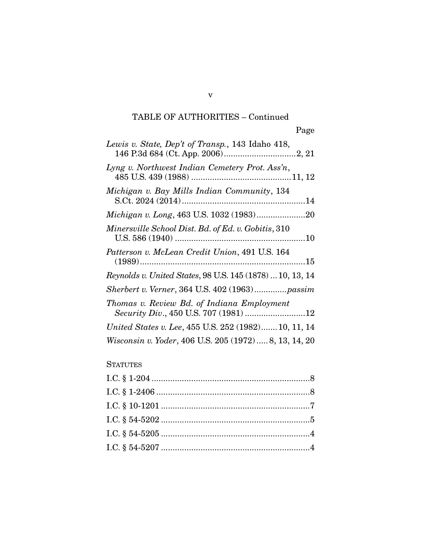# TABLE OF AUTHORITIES – Continued

| Lewis v. State, Dep't of Transp., 143 Idaho 418,                                    |
|-------------------------------------------------------------------------------------|
| Lyng v. Northwest Indian Cemetery Prot. Ass'n,                                      |
| Michigan v. Bay Mills Indian Community, 134                                         |
|                                                                                     |
| Minersville School Dist. Bd. of Ed. v. Gobitis, 310                                 |
| Patterson v. McLean Credit Union, 491 U.S. 164                                      |
| Reynolds v. United States, 98 U.S. 145 (1878)  10, 13, 14                           |
| Sherbert v. Verner, 364 U.S. 402 (1963)passim                                       |
| Thomas v. Review Bd. of Indiana Employment<br>Security Div., 450 U.S. 707 (1981) 12 |
| United States v. Lee, 455 U.S. 252 (1982) 10, 11, 14                                |
| Wisconsin v. Yoder, 406 U.S. 205 (1972)  8, 13, 14, 20                              |

## **STATUTES**

v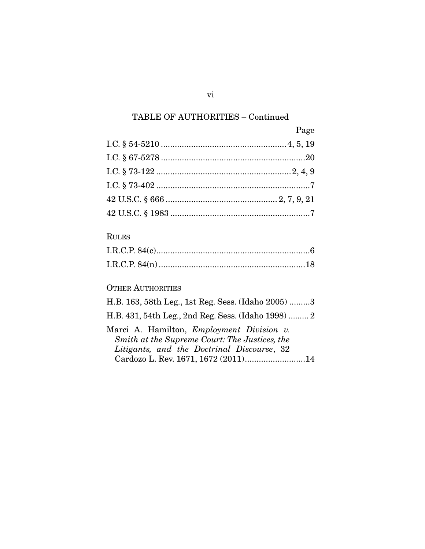## TABLE OF AUTHORITIES – Continued

| Page |
|------|
|      |
|      |
|      |
|      |
|      |
|      |

## RULES

## OTHER AUTHORITIES

| H.B. 163, 58th Leg., 1st Reg. Sess. (Idaho 2005) 3                                                                                              |
|-------------------------------------------------------------------------------------------------------------------------------------------------|
| H.B. 431, 54th Leg., 2nd Reg. Sess. (Idaho 1998)  2                                                                                             |
| Marci A. Hamilton, <i>Employment Division v.</i><br>Smith at the Supreme Court: The Justices, the<br>Litigants, and the Doctrinal Discourse, 32 |

vi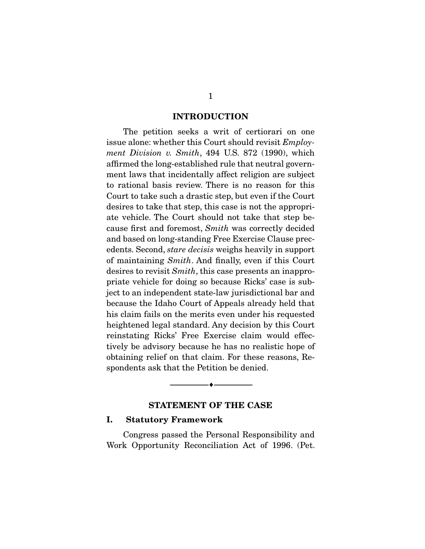#### INTRODUCTION

 The petition seeks a writ of certiorari on one issue alone: whether this Court should revisit *Employment Division v. Smith*, 494 U.S. 872 (1990), which affirmed the long-established rule that neutral government laws that incidentally affect religion are subject to rational basis review. There is no reason for this Court to take such a drastic step, but even if the Court desires to take that step, this case is not the appropriate vehicle. The Court should not take that step because first and foremost, *Smith* was correctly decided and based on long-standing Free Exercise Clause precedents. Second, *stare decisis* weighs heavily in support of maintaining *Smith*. And finally, even if this Court desires to revisit *Smith*, this case presents an inappropriate vehicle for doing so because Ricks' case is subject to an independent state-law jurisdictional bar and because the Idaho Court of Appeals already held that his claim fails on the merits even under his requested heightened legal standard. Any decision by this Court reinstating Ricks' Free Exercise claim would effectively be advisory because he has no realistic hope of obtaining relief on that claim. For these reasons, Respondents ask that the Petition be denied.

### STATEMENT OF THE CASE

--------------------------------- ---------------------------------

#### I. Statutory Framework

 Congress passed the Personal Responsibility and Work Opportunity Reconciliation Act of 1996. (Pet.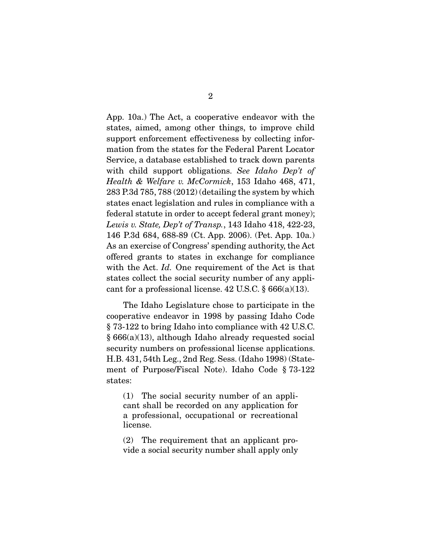App. 10a.) The Act, a cooperative endeavor with the states, aimed, among other things, to improve child support enforcement effectiveness by collecting information from the states for the Federal Parent Locator Service, a database established to track down parents with child support obligations. *See Idaho Dep't of Health & Welfare v. McCormick*, 153 Idaho 468, 471, 283 P.3d 785, 788 (2012) (detailing the system by which states enact legislation and rules in compliance with a federal statute in order to accept federal grant money); *Lewis v. State, Dep't of Transp.*, 143 Idaho 418, 422-23, 146 P.3d 684, 688-89 (Ct. App. 2006). (Pet. App. 10a.) As an exercise of Congress' spending authority, the Act offered grants to states in exchange for compliance with the Act. *Id.* One requirement of the Act is that states collect the social security number of any applicant for a professional license. 42 U.S.C.  $\S 666(a)(13)$ .

 The Idaho Legislature chose to participate in the cooperative endeavor in 1998 by passing Idaho Code § 73-122 to bring Idaho into compliance with 42 U.S.C. § 666(a)(13), although Idaho already requested social security numbers on professional license applications. H.B. 431, 54th Leg., 2nd Reg. Sess. (Idaho 1998) (Statement of Purpose/Fiscal Note). Idaho Code § 73-122 states:

(1) The social security number of an applicant shall be recorded on any application for a professional, occupational or recreational license.

(2) The requirement that an applicant provide a social security number shall apply only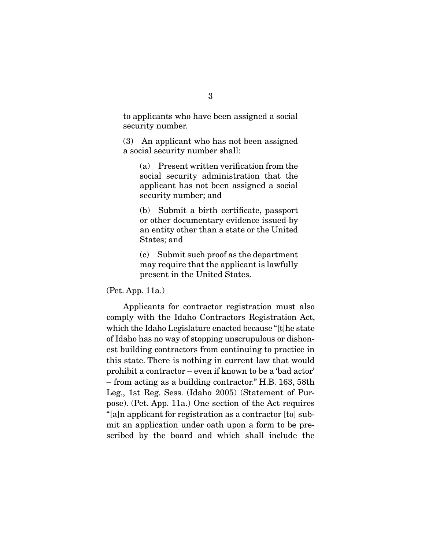to applicants who have been assigned a social security number.

(3) An applicant who has not been assigned a social security number shall:

(a) Present written verification from the social security administration that the applicant has not been assigned a social security number; and

(b) Submit a birth certificate, passport or other documentary evidence issued by an entity other than a state or the United States; and

(c) Submit such proof as the department may require that the applicant is lawfully present in the United States.

(Pet. App. 11a.)

 Applicants for contractor registration must also comply with the Idaho Contractors Registration Act, which the Idaho Legislature enacted because "[t]he state of Idaho has no way of stopping unscrupulous or dishonest building contractors from continuing to practice in this state. There is nothing in current law that would prohibit a contractor – even if known to be a 'bad actor' – from acting as a building contractor." H.B. 163, 58th Leg., 1st Reg. Sess. (Idaho 2005) (Statement of Purpose). (Pet. App. 11a.) One section of the Act requires "[a]n applicant for registration as a contractor [to] submit an application under oath upon a form to be prescribed by the board and which shall include the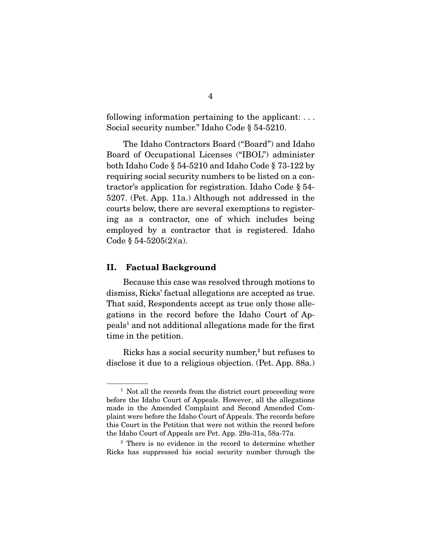following information pertaining to the applicant: . . . Social security number." Idaho Code § 54-5210.

 The Idaho Contractors Board ("Board") and Idaho Board of Occupational Licenses ("IBOL") administer both Idaho Code § 54-5210 and Idaho Code § 73-122 by requiring social security numbers to be listed on a contractor's application for registration. Idaho Code § 54- 5207. (Pet. App. 11a.) Although not addressed in the courts below, there are several exemptions to registering as a contractor, one of which includes being employed by a contractor that is registered. Idaho Code  $§ 54-5205(2)(a)$ .

#### II. Factual Background

 Because this case was resolved through motions to dismiss, Ricks' factual allegations are accepted as true. That said, Respondents accept as true only those allegations in the record before the Idaho Court of Appeals<sup>1</sup> and not additional allegations made for the first time in the petition.

Ricks has a social security number,<sup>2</sup> but refuses to disclose it due to a religious objection. (Pet. App. 88a.)

<sup>&</sup>lt;sup>1</sup> Not all the records from the district court proceeding were before the Idaho Court of Appeals. However, all the allegations made in the Amended Complaint and Second Amended Complaint were before the Idaho Court of Appeals. The records before this Court in the Petition that were not within the record before the Idaho Court of Appeals are Pet. App. 29a-31a, 58a-77a.

<sup>2</sup> There is no evidence in the record to determine whether Ricks has suppressed his social security number through the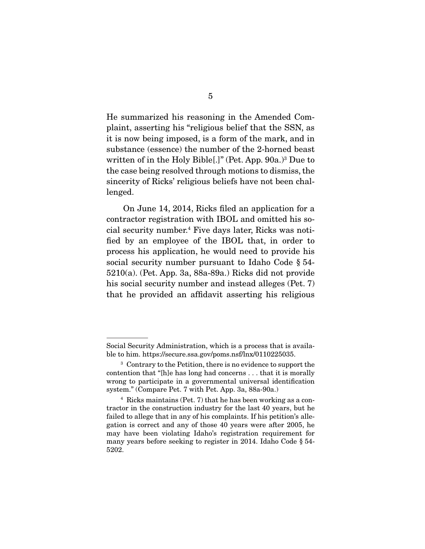He summarized his reasoning in the Amended Complaint, asserting his "religious belief that the SSN, as it is now being imposed, is a form of the mark, and in substance (essence) the number of the 2-horned beast written of in the Holy Bible[.]" (Pet. App. 90a.)3 Due to the case being resolved through motions to dismiss, the sincerity of Ricks' religious beliefs have not been challenged.

 On June 14, 2014, Ricks filed an application for a contractor registration with IBOL and omitted his social security number.4 Five days later, Ricks was notified by an employee of the IBOL that, in order to process his application, he would need to provide his social security number pursuant to Idaho Code § 54- 5210(a). (Pet. App. 3a, 88a-89a.) Ricks did not provide his social security number and instead alleges (Pet. 7) that he provided an affidavit asserting his religious

Social Security Administration, which is a process that is available to him. https://secure.ssa.gov/poms.nsf/lnx/0110225035.

<sup>&</sup>lt;sup>3</sup> Contrary to the Petition, there is no evidence to support the contention that "[h]e has long had concerns . . . that it is morally wrong to participate in a governmental universal identification system." (Compare Pet. 7 with Pet. App. 3a, 88a-90a.)

<sup>4</sup> Ricks maintains (Pet. 7) that he has been working as a contractor in the construction industry for the last 40 years, but he failed to allege that in any of his complaints. If his petition's allegation is correct and any of those 40 years were after 2005, he may have been violating Idaho's registration requirement for many years before seeking to register in 2014. Idaho Code § 54- 5202.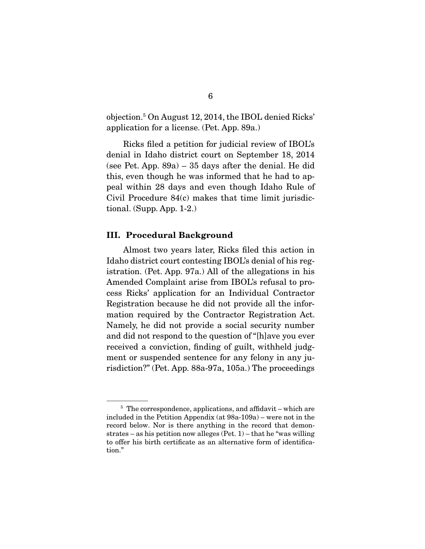objection.5 On August 12, 2014, the IBOL denied Ricks' application for a license. (Pet. App. 89a.)

 Ricks filed a petition for judicial review of IBOL's denial in Idaho district court on September 18, 2014 (see Pet. App. 89a) – 35 days after the denial. He did this, even though he was informed that he had to appeal within 28 days and even though Idaho Rule of Civil Procedure 84(c) makes that time limit jurisdictional. (Supp. App. 1-2.)

#### III. Procedural Background

 Almost two years later, Ricks filed this action in Idaho district court contesting IBOL's denial of his registration. (Pet. App. 97a.) All of the allegations in his Amended Complaint arise from IBOL's refusal to process Ricks' application for an Individual Contractor Registration because he did not provide all the information required by the Contractor Registration Act. Namely, he did not provide a social security number and did not respond to the question of "[h]ave you ever received a conviction, finding of guilt, withheld judgment or suspended sentence for any felony in any jurisdiction?" (Pet. App. 88a-97a, 105a.) The proceedings

 $5$  The correspondence, applications, and affidavit – which are included in the Petition Appendix (at 98a-109a) – were not in the record below. Nor is there anything in the record that demonstrates – as his petition now alleges  $(Pet. 1)$  – that he "was willing" to offer his birth certificate as an alternative form of identification."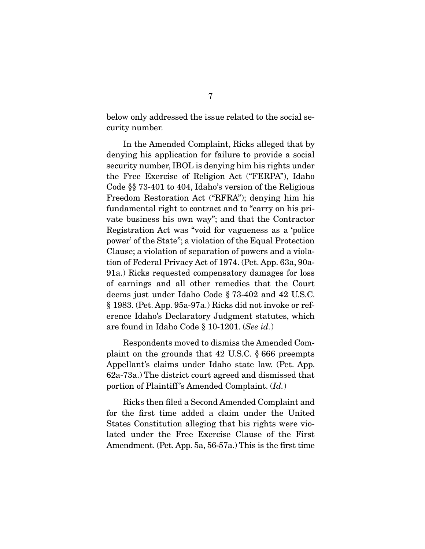below only addressed the issue related to the social security number.

 In the Amended Complaint, Ricks alleged that by denying his application for failure to provide a social security number, IBOL is denying him his rights under the Free Exercise of Religion Act ("FERPA"), Idaho Code §§ 73-401 to 404, Idaho's version of the Religious Freedom Restoration Act ("RFRA"); denying him his fundamental right to contract and to "carry on his private business his own way"; and that the Contractor Registration Act was "void for vagueness as a 'police power' of the State"; a violation of the Equal Protection Clause; a violation of separation of powers and a violation of Federal Privacy Act of 1974. (Pet. App. 63a, 90a-91a.) Ricks requested compensatory damages for loss of earnings and all other remedies that the Court deems just under Idaho Code § 73-402 and 42 U.S.C. § 1983. (Pet. App. 95a-97a.) Ricks did not invoke or reference Idaho's Declaratory Judgment statutes, which are found in Idaho Code § 10-1201. (*See id.*)

 Respondents moved to dismiss the Amended Complaint on the grounds that 42 U.S.C. § 666 preempts Appellant's claims under Idaho state law. (Pet. App. 62a-73a.) The district court agreed and dismissed that portion of Plaintiff 's Amended Complaint. (*Id.*)

 Ricks then filed a Second Amended Complaint and for the first time added a claim under the United States Constitution alleging that his rights were violated under the Free Exercise Clause of the First Amendment. (Pet. App. 5a, 56-57a.) This is the first time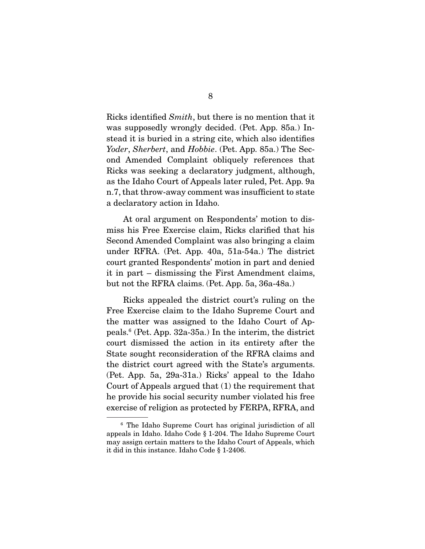Ricks identified *Smith*, but there is no mention that it was supposedly wrongly decided. (Pet. App. 85a.) Instead it is buried in a string cite, which also identifies *Yoder*, *Sherbert*, and *Hobbie*. (Pet. App. 85a.) The Second Amended Complaint obliquely references that Ricks was seeking a declaratory judgment, although, as the Idaho Court of Appeals later ruled, Pet. App. 9a n.7, that throw-away comment was insufficient to state a declaratory action in Idaho.

 At oral argument on Respondents' motion to dismiss his Free Exercise claim, Ricks clarified that his Second Amended Complaint was also bringing a claim under RFRA. (Pet. App. 40a, 51a-54a.) The district court granted Respondents' motion in part and denied it in part – dismissing the First Amendment claims, but not the RFRA claims. (Pet. App. 5a, 36a-48a.)

 Ricks appealed the district court's ruling on the Free Exercise claim to the Idaho Supreme Court and the matter was assigned to the Idaho Court of Appeals.6 (Pet. App. 32a-35a.) In the interim, the district court dismissed the action in its entirety after the State sought reconsideration of the RFRA claims and the district court agreed with the State's arguments. (Pet. App. 5a, 29a-31a.) Ricks' appeal to the Idaho Court of Appeals argued that (1) the requirement that he provide his social security number violated his free exercise of religion as protected by FERPA, RFRA, and

<sup>6</sup> The Idaho Supreme Court has original jurisdiction of all appeals in Idaho. Idaho Code § 1-204. The Idaho Supreme Court may assign certain matters to the Idaho Court of Appeals, which it did in this instance. Idaho Code § 1-2406.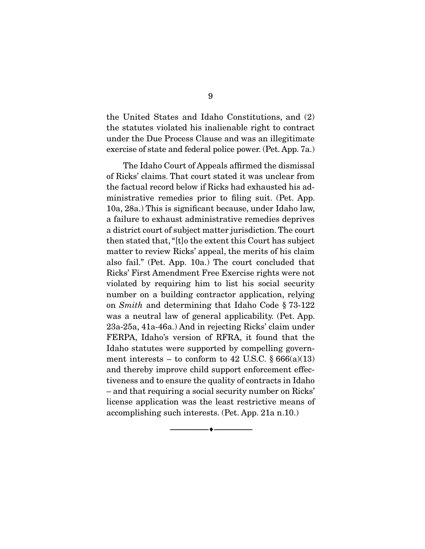the United States and Idaho Constitutions, and (2) the statutes violated his inalienable right to contract under the Due Process Clause and was an illegitimate exercise of state and federal police power. (Pet. App. 7a.)

 The Idaho Court of Appeals affirmed the dismissal of Ricks' claims. That court stated it was unclear from the factual record below if Ricks had exhausted his administrative remedies prior to filing suit. (Pet. App. 10a, 28a.) This is significant because, under Idaho law, a failure to exhaust administrative remedies deprives a district court of subject matter jurisdiction. The court then stated that, "[t]o the extent this Court has subject matter to review Ricks' appeal, the merits of his claim also fail." (Pet. App. 10a.) The court concluded that Ricks' First Amendment Free Exercise rights were not violated by requiring him to list his social security number on a building contractor application, relying on *Smith* and determining that Idaho Code § 73-122 was a neutral law of general applicability. (Pet. App. 23a-25a, 41a-46a.) And in rejecting Ricks' claim under FERPA, Idaho's version of RFRA, it found that the Idaho statutes were supported by compelling government interests – to conform to 42 U.S.C.  $\S 666(a)(13)$ and thereby improve child support enforcement effectiveness and to ensure the quality of contracts in Idaho – and that requiring a social security number on Ricks' license application was the least restrictive means of accomplishing such interests. (Pet. App. 21a n.10.)

--------------------------------- ---------------------------------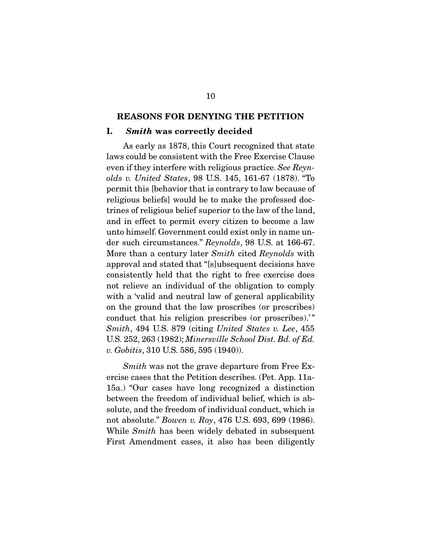#### REASONS FOR DENYING THE PETITION

### I. *Smith* was correctly decided

 As early as 1878, this Court recognized that state laws could be consistent with the Free Exercise Clause even if they interfere with religious practice. *See Reynolds v. United States*, 98 U.S. 145, 161-67 (1878). "To permit this [behavior that is contrary to law because of religious beliefs] would be to make the professed doctrines of religious belief superior to the law of the land, and in effect to permit every citizen to become a law unto himself. Government could exist only in name under such circumstances." *Reynolds*, 98 U.S. at 166-67. More than a century later *Smith* cited *Reynolds* with approval and stated that "[s]ubsequent decisions have consistently held that the right to free exercise does not relieve an individual of the obligation to comply with a 'valid and neutral law of general applicability on the ground that the law proscribes (or prescribes) conduct that his religion prescribes (or proscribes).'" *Smith*, 494 U.S. 879 (citing *United States v. Lee*, 455 U.S. 252, 263 (1982); *Minersville School Dist. Bd. of Ed. v. Gobitis*, 310 U.S. 586, 595 (1940)).

*Smith* was not the grave departure from Free Exercise cases that the Petition describes. (Pet. App. 11a-15a.) "Our cases have long recognized a distinction between the freedom of individual belief, which is absolute, and the freedom of individual conduct, which is not absolute." *Bowen v. Roy*, 476 U.S. 693, 699 (1986). While *Smith* has been widely debated in subsequent First Amendment cases, it also has been diligently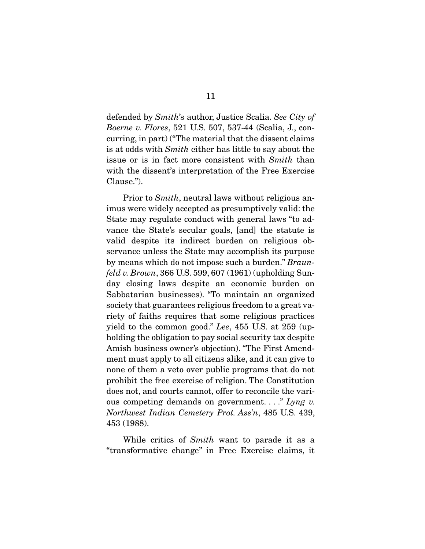defended by *Smith*'s author, Justice Scalia. *See City of Boerne v. Flores*, 521 U.S. 507, 537-44 (Scalia, J., concurring, in part) ("The material that the dissent claims is at odds with *Smith* either has little to say about the issue or is in fact more consistent with *Smith* than with the dissent's interpretation of the Free Exercise Clause.").

 Prior to *Smith*, neutral laws without religious animus were widely accepted as presumptively valid: the State may regulate conduct with general laws "to advance the State's secular goals, [and] the statute is valid despite its indirect burden on religious observance unless the State may accomplish its purpose by means which do not impose such a burden." *Braunfeld v. Brown*, 366 U.S. 599, 607 (1961) (upholding Sunday closing laws despite an economic burden on Sabbatarian businesses). "To maintain an organized society that guarantees religious freedom to a great variety of faiths requires that some religious practices yield to the common good." *Lee*, 455 U.S. at 259 (upholding the obligation to pay social security tax despite Amish business owner's objection). "The First Amendment must apply to all citizens alike, and it can give to none of them a veto over public programs that do not prohibit the free exercise of religion. The Constitution does not, and courts cannot, offer to reconcile the various competing demands on government. . . ." *Lyng v. Northwest Indian Cemetery Prot. Ass'n*, 485 U.S. 439, 453 (1988).

 While critics of *Smith* want to parade it as a "transformative change" in Free Exercise claims, it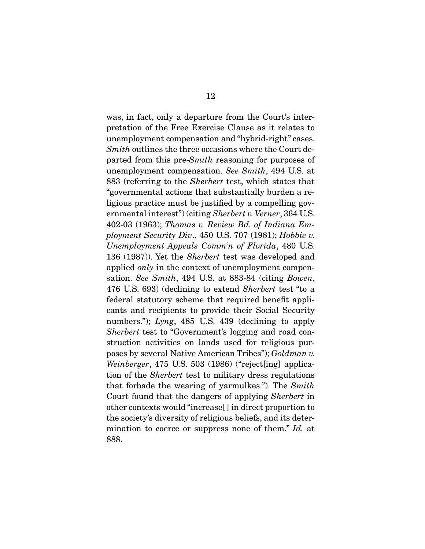was, in fact, only a departure from the Court's interpretation of the Free Exercise Clause as it relates to unemployment compensation and "hybrid-right" cases. *Smith* outlines the three occasions where the Court departed from this pre-*Smith* reasoning for purposes of unemployment compensation. *See Smith*, 494 U.S. at 883 (referring to the *Sherbert* test, which states that "governmental actions that substantially burden a religious practice must be justified by a compelling governmental interest") (citing *Sherbert v. Verner*, 364 U.S. 402-03 (1963); *Thomas v. Review Bd. of Indiana Employment Security Div*., 450 U.S. 707 (1981); *Hobbie v. Unemployment Appeals Comm'n of Florida*, 480 U.S. 136 (1987)). Yet the *Sherbert* test was developed and applied *only* in the context of unemployment compensation. *See Smith*, 494 U.S. at 883-84 (citing *Bowen*, 476 U.S. 693) (declining to extend *Sherbert* test "to a federal statutory scheme that required benefit applicants and recipients to provide their Social Security numbers."); *Lyng*, 485 U.S. 439 (declining to apply *Sherbert* test to "Government's logging and road construction activities on lands used for religious purposes by several Native American Tribes"); *Goldman v. Weinberger*, 475 U.S. 503 (1986) ("reject[ing] application of the *Sherbert* test to military dress regulations that forbade the wearing of yarmulkes."). The *Smith* Court found that the dangers of applying *Sherbert* in other contexts would "increase[ ] in direct proportion to the society's diversity of religious beliefs, and its determination to coerce or suppress none of them." *Id.* at 888.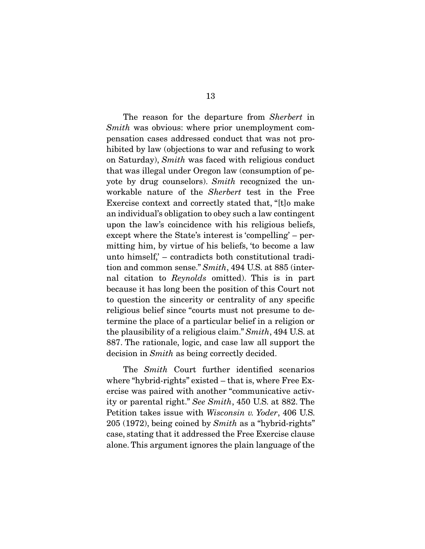The reason for the departure from *Sherbert* in *Smith* was obvious: where prior unemployment compensation cases addressed conduct that was not prohibited by law (objections to war and refusing to work on Saturday), *Smith* was faced with religious conduct that was illegal under Oregon law (consumption of peyote by drug counselors). *Smith* recognized the unworkable nature of the *Sherbert* test in the Free Exercise context and correctly stated that, "[t]o make an individual's obligation to obey such a law contingent upon the law's coincidence with his religious beliefs, except where the State's interest is 'compelling' – permitting him, by virtue of his beliefs, 'to become a law unto himself,' – contradicts both constitutional tradition and common sense." *Smith*, 494 U.S. at 885 (internal citation to *Reynolds* omitted). This is in part because it has long been the position of this Court not to question the sincerity or centrality of any specific religious belief since "courts must not presume to determine the place of a particular belief in a religion or the plausibility of a religious claim." *Smith*, 494 U.S. at 887. The rationale, logic, and case law all support the decision in *Smith* as being correctly decided.

 The *Smith* Court further identified scenarios where "hybrid-rights" existed – that is, where Free Exercise was paired with another "communicative activity or parental right." *See Smith*, 450 U.S. at 882. The Petition takes issue with *Wisconsin v. Yoder*, 406 U.S. 205 (1972), being coined by *Smith* as a "hybrid-rights" case, stating that it addressed the Free Exercise clause alone. This argument ignores the plain language of the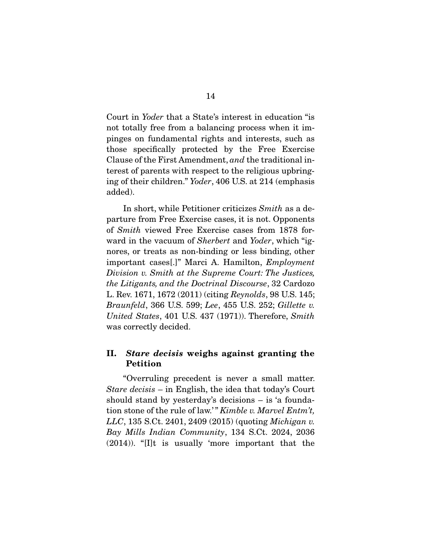Court in *Yoder* that a State's interest in education "is not totally free from a balancing process when it impinges on fundamental rights and interests, such as those specifically protected by the Free Exercise Clause of the First Amendment, *and* the traditional interest of parents with respect to the religious upbringing of their children." *Yoder*, 406 U.S. at 214 (emphasis added).

 In short, while Petitioner criticizes *Smith* as a departure from Free Exercise cases, it is not. Opponents of *Smith* viewed Free Exercise cases from 1878 forward in the vacuum of *Sherbert* and *Yoder*, which "ignores, or treats as non-binding or less binding, other important cases[.]" Marci A. Hamilton, *Employment Division v. Smith at the Supreme Court: The Justices, the Litigants, and the Doctrinal Discourse*, 32 Cardozo L. Rev. 1671, 1672 (2011) (citing *Reynolds*, 98 U.S. 145; *Braunfeld*, 366 U.S. 599; *Lee*, 455 U.S. 252; *Gillette v. United States*, 401 U.S. 437 (1971)). Therefore, *Smith* was correctly decided.

### II. *Stare decisis* weighs against granting the Petition

 "Overruling precedent is never a small matter. *Stare decisis* – in English, the idea that today's Court should stand by yesterday's decisions – is 'a foundation stone of the rule of law.' " *Kimble v. Marvel Entm't, LLC*, 135 S.Ct. 2401, 2409 (2015) (quoting *Michigan v. Bay Mills Indian Community*, 134 S.Ct. 2024, 2036 (2014)). "[I]t is usually 'more important that the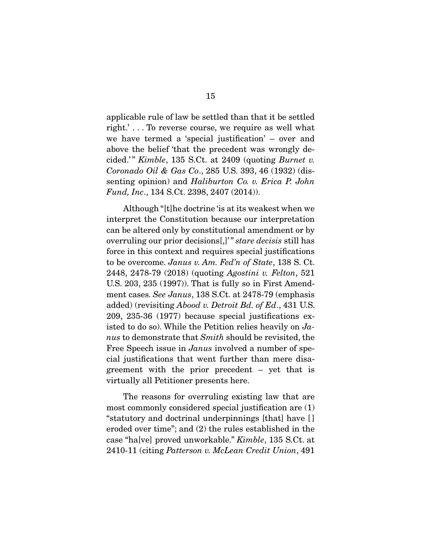applicable rule of law be settled than that it be settled right.' . . . To reverse course, we require as well what we have termed a 'special justification' – over and above the belief 'that the precedent was wrongly decided.' " *Kimble*, 135 S.Ct. at 2409 (quoting *Burnet v. Coronado Oil & Gas Co*., 285 U.S. 393, 46 (1932) (dissenting opinion) and *Haliburton Co. v. Erica P. John Fund, Inc*., 134 S.Ct. 2398, 2407 (2014)).

 Although "[t]he doctrine 'is at its weakest when we interpret the Constitution because our interpretation can be altered only by constitutional amendment or by overruling our prior decisions[,]' " *stare decisis* still has force in this context and requires special justifications to be overcome. *Janus v. Am. Fed'n of State*, 138 S. Ct. 2448, 2478-79 (2018) (quoting *Agostini v. Felton*, 521 U.S. 203, 235 (1997)). That is fully so in First Amendment cases. *See Janus*, 138 S.Ct. at 2478-79 (emphasis added) (revisiting *Abood v. Detroit Bd. of Ed*., 431 U.S. 209, 235-36 (1977) because special justifications existed to do so). While the Petition relies heavily on *Janus* to demonstrate that *Smith* should be revisited, the Free Speech issue in *Janus* involved a number of special justifications that went further than mere disagreement with the prior precedent – yet that is virtually all Petitioner presents here.

 The reasons for overruling existing law that are most commonly considered special justification are (1) "statutory and doctrinal underpinnings [that] have [ ] eroded over time"; and (2) the rules established in the case "ha[ve] proved unworkable." *Kimble*, 135 S.Ct. at 2410-11 (citing *Patterson v. McLean Credit Union*, 491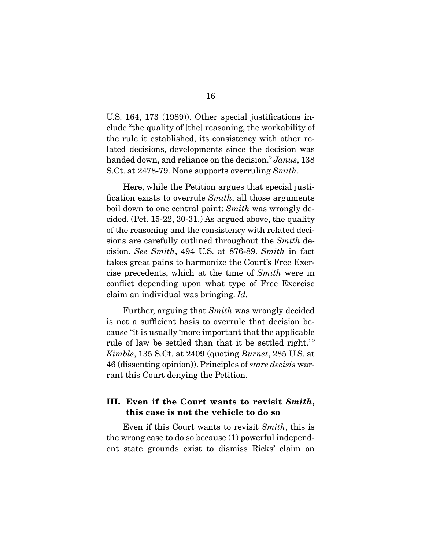U.S. 164, 173 (1989)). Other special justifications include "the quality of [the] reasoning, the workability of the rule it established, its consistency with other related decisions, developments since the decision was handed down, and reliance on the decision." *Janus*, 138 S.Ct. at 2478-79. None supports overruling *Smith*.

 Here, while the Petition argues that special justification exists to overrule *Smith*, all those arguments boil down to one central point: *Smith* was wrongly decided. (Pet. 15-22, 30-31.) As argued above, the quality of the reasoning and the consistency with related decisions are carefully outlined throughout the *Smith* decision. *See Smith*, 494 U.S. at 876-89. *Smith* in fact takes great pains to harmonize the Court's Free Exercise precedents, which at the time of *Smith* were in conflict depending upon what type of Free Exercise claim an individual was bringing. *Id.*

 Further, arguing that *Smith* was wrongly decided is not a sufficient basis to overrule that decision because "it is usually 'more important that the applicable rule of law be settled than that it be settled right.'" *Kimble*, 135 S.Ct. at 2409 (quoting *Burnet*, 285 U.S. at 46 (dissenting opinion)). Principles of *stare decisis* warrant this Court denying the Petition.

### III. Even if the Court wants to revisit *Smith*, this case is not the vehicle to do so

 Even if this Court wants to revisit *Smith*, this is the wrong case to do so because (1) powerful independent state grounds exist to dismiss Ricks' claim on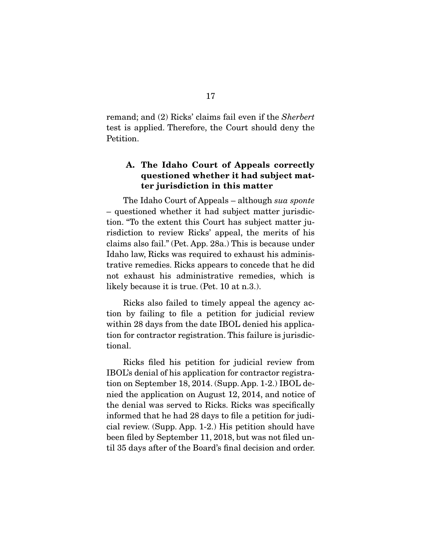remand; and (2) Ricks' claims fail even if the *Sherbert* test is applied. Therefore, the Court should deny the Petition.

### A. The Idaho Court of Appeals correctly questioned whether it had subject matter jurisdiction in this matter

 The Idaho Court of Appeals – although *sua sponte*  – questioned whether it had subject matter jurisdiction. "To the extent this Court has subject matter jurisdiction to review Ricks' appeal, the merits of his claims also fail." (Pet. App. 28a.) This is because under Idaho law, Ricks was required to exhaust his administrative remedies. Ricks appears to concede that he did not exhaust his administrative remedies, which is likely because it is true. (Pet. 10 at n.3.).

 Ricks also failed to timely appeal the agency action by failing to file a petition for judicial review within 28 days from the date IBOL denied his application for contractor registration. This failure is jurisdictional.

 Ricks filed his petition for judicial review from IBOL's denial of his application for contractor registration on September 18, 2014. (Supp. App. 1-2.) IBOL denied the application on August 12, 2014, and notice of the denial was served to Ricks. Ricks was specifically informed that he had 28 days to file a petition for judicial review. (Supp. App. 1-2.) His petition should have been filed by September 11, 2018, but was not filed until 35 days after of the Board's final decision and order.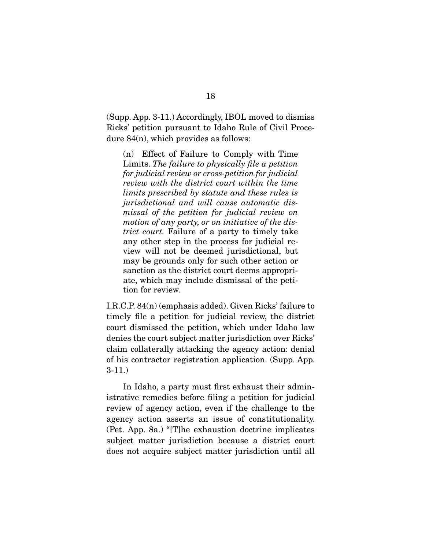(Supp. App. 3-11.) Accordingly, IBOL moved to dismiss Ricks' petition pursuant to Idaho Rule of Civil Procedure 84(n), which provides as follows:

(n) Effect of Failure to Comply with Time Limits. *The failure to physically file a petition for judicial review or cross-petition for judicial review with the district court within the time limits prescribed by statute and these rules is jurisdictional and will cause automatic dismissal of the petition for judicial review on motion of any party, or on initiative of the district court.* Failure of a party to timely take any other step in the process for judicial review will not be deemed jurisdictional, but may be grounds only for such other action or sanction as the district court deems appropriate, which may include dismissal of the petition for review.

I.R.C.P. 84(n) (emphasis added). Given Ricks' failure to timely file a petition for judicial review, the district court dismissed the petition, which under Idaho law denies the court subject matter jurisdiction over Ricks' claim collaterally attacking the agency action: denial of his contractor registration application. (Supp. App. 3-11.)

 In Idaho, a party must first exhaust their administrative remedies before filing a petition for judicial review of agency action, even if the challenge to the agency action asserts an issue of constitutionality. (Pet. App. 8a.) "[T]he exhaustion doctrine implicates subject matter jurisdiction because a district court does not acquire subject matter jurisdiction until all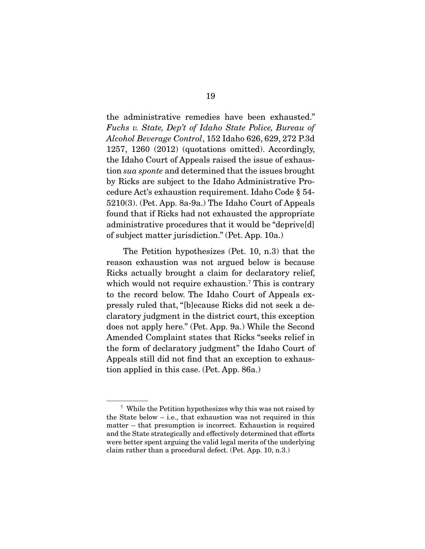the administrative remedies have been exhausted." *Fuchs v. State, Dep't of Idaho State Police, Bureau of Alcohol Beverage Control*, 152 Idaho 626, 629, 272 P.3d 1257, 1260 (2012) (quotations omitted). Accordingly, the Idaho Court of Appeals raised the issue of exhaustion *sua sponte* and determined that the issues brought by Ricks are subject to the Idaho Administrative Procedure Act's exhaustion requirement. Idaho Code § 54- 5210(3). (Pet. App. 8a-9a.) The Idaho Court of Appeals found that if Ricks had not exhausted the appropriate administrative procedures that it would be "deprive[d] of subject matter jurisdiction." (Pet. App. 10a.)

 The Petition hypothesizes (Pet. 10, n.3) that the reason exhaustion was not argued below is because Ricks actually brought a claim for declaratory relief, which would not require exhaustion.<sup>7</sup> This is contrary to the record below. The Idaho Court of Appeals expressly ruled that, "[b]ecause Ricks did not seek a declaratory judgment in the district court, this exception does not apply here." (Pet. App. 9a.) While the Second Amended Complaint states that Ricks "seeks relief in the form of declaratory judgment" the Idaho Court of Appeals still did not find that an exception to exhaustion applied in this case. (Pet. App. 86a.)

<sup>7</sup> While the Petition hypothesizes why this was not raised by the State below – i.e., that exhaustion was not required in this matter – that presumption is incorrect. Exhaustion is required and the State strategically and effectively determined that efforts were better spent arguing the valid legal merits of the underlying claim rather than a procedural defect. (Pet. App. 10, n.3.)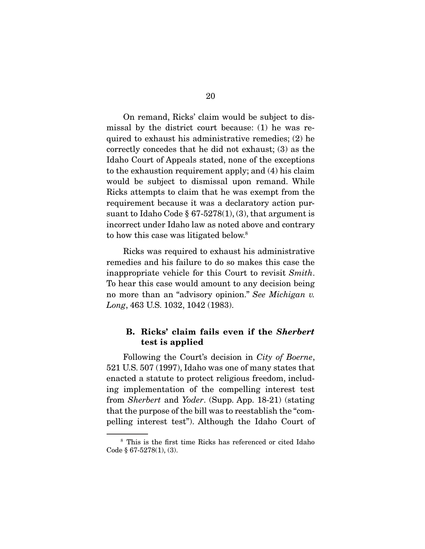On remand, Ricks' claim would be subject to dismissal by the district court because: (1) he was required to exhaust his administrative remedies; (2) he correctly concedes that he did not exhaust; (3) as the Idaho Court of Appeals stated, none of the exceptions to the exhaustion requirement apply; and (4) his claim would be subject to dismissal upon remand. While Ricks attempts to claim that he was exempt from the requirement because it was a declaratory action pursuant to Idaho Code  $\S 67-5278(1), (3)$ , that argument is incorrect under Idaho law as noted above and contrary to how this case was litigated below.8

 Ricks was required to exhaust his administrative remedies and his failure to do so makes this case the inappropriate vehicle for this Court to revisit *Smith*. To hear this case would amount to any decision being no more than an "advisory opinion." *See Michigan v. Long*, 463 U.S. 1032, 1042 (1983).

### B. Ricks' claim fails even if the *Sherbert* test is applied

 Following the Court's decision in *City of Boerne*, 521 U.S. 507 (1997), Idaho was one of many states that enacted a statute to protect religious freedom, including implementation of the compelling interest test from *Sherbert* and *Yoder*. (Supp. App. 18-21) (stating that the purpose of the bill was to reestablish the "compelling interest test"). Although the Idaho Court of

<sup>8</sup> This is the first time Ricks has referenced or cited Idaho Code § 67-5278(1), (3).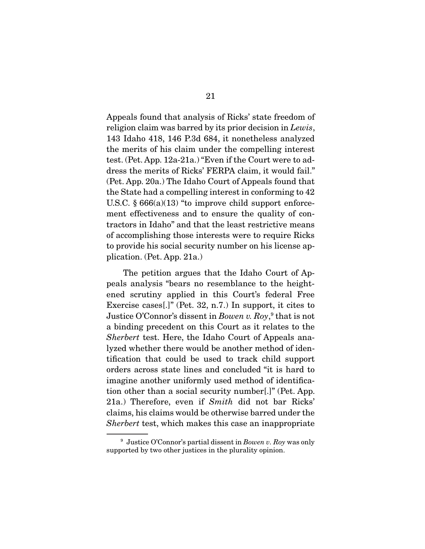Appeals found that analysis of Ricks' state freedom of religion claim was barred by its prior decision in *Lewis*, 143 Idaho 418, 146 P.3d 684, it nonetheless analyzed the merits of his claim under the compelling interest test. (Pet. App. 12a-21a.) "Even if the Court were to address the merits of Ricks' FERPA claim, it would fail." (Pet. App. 20a.) The Idaho Court of Appeals found that the State had a compelling interest in conforming to 42 U.S.C.  $§ 666(a)(13)$  "to improve child support enforcement effectiveness and to ensure the quality of contractors in Idaho" and that the least restrictive means of accomplishing those interests were to require Ricks to provide his social security number on his license application. (Pet. App. 21a.)

 The petition argues that the Idaho Court of Appeals analysis "bears no resemblance to the heightened scrutiny applied in this Court's federal Free Exercise cases[.]" (Pet. 32, n.7.) In support, it cites to Justice O'Connor's dissent in *Bowen v. Roy*, 9 that is not a binding precedent on this Court as it relates to the *Sherbert* test. Here, the Idaho Court of Appeals analyzed whether there would be another method of identification that could be used to track child support orders across state lines and concluded "it is hard to imagine another uniformly used method of identification other than a social security number[.]" (Pet. App. 21a.) Therefore, even if *Smith* did not bar Ricks' claims, his claims would be otherwise barred under the *Sherbert* test, which makes this case an inappropriate

<sup>9</sup> Justice O'Connor's partial dissent in *Bowen v. Roy* was only supported by two other justices in the plurality opinion.